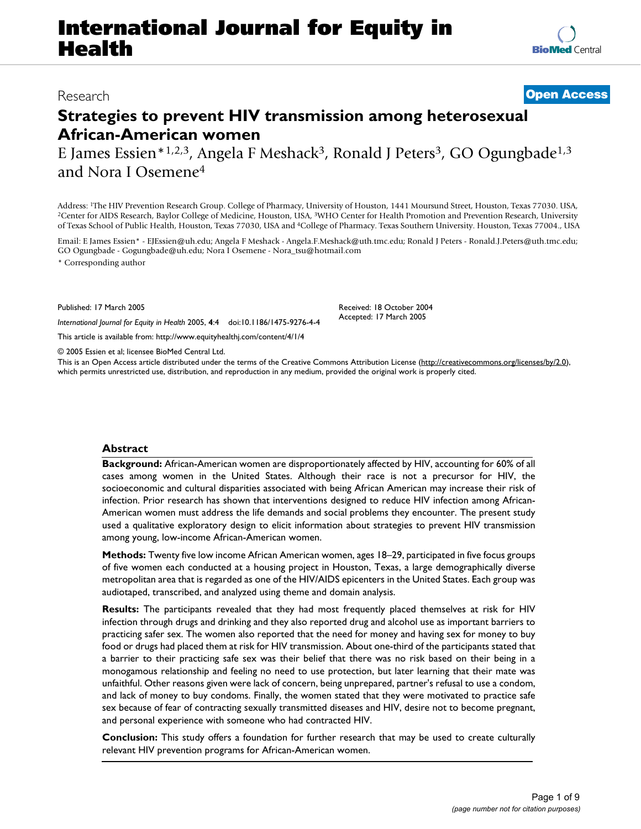# **International Journal for Equity in Health**

## **Strategies to prevent HIV transmission among heterosexual African-American women**

E James Essien\*1,2,3, Angela F Meshack<sup>3</sup>, Ronald J Peters<sup>3</sup>, GO Ogungbade<sup>1,3</sup> and Nora I Osemene4

Address: 1The HIV Prevention Research Group. College of Pharmacy, University of Houston, 1441 Moursund Street, Houston, Texas 77030. USA, 2Center for AIDS Research, Baylor College of Medicine, Houston, USA, 3WHO Center for Health Promotion and Prevention Research, University of Texas School of Public Health, Houston, Texas 77030, USA and 4College of Pharmacy. Texas Southern University. Houston, Texas 77004., USA

Email: E James Essien\* - EJEssien@uh.edu; Angela F Meshack - Angela.F.Meshack@uth.tmc.edu; Ronald J Peters - Ronald.J.Peters@uth.tmc.edu; GO Ogungbade - Gogungbade@uh.edu; Nora I Osemene - Nora\_tsu@hotmail.com

\* Corresponding author

Published: 17 March 2005

*International Journal for Equity in Health* 2005, **4**:4 doi:10.1186/1475-9276-4-4

[This article is available from: http://www.equityhealthj.com/content/4/1/4](http://www.equityhealthj.com/content/4/1/4)

© 2005 Essien et al; licensee BioMed Central Ltd.

This is an Open Access article distributed under the terms of the Creative Commons Attribution License [\(http://creativecommons.org/licenses/by/2.0\)](http://creativecommons.org/licenses/by/2.0), which permits unrestricted use, distribution, and reproduction in any medium, provided the original work is properly cited.

#### **Abstract**

**Background:** African-American women are disproportionately affected by HIV, accounting for 60% of all cases among women in the United States. Although their race is not a precursor for HIV, the socioeconomic and cultural disparities associated with being African American may increase their risk of infection. Prior research has shown that interventions designed to reduce HIV infection among African-American women must address the life demands and social problems they encounter. The present study used a qualitative exploratory design to elicit information about strategies to prevent HIV transmission among young, low-income African-American women.

**Methods:** Twenty five low income African American women, ages 18–29, participated in five focus groups of five women each conducted at a housing project in Houston, Texas, a large demographically diverse metropolitan area that is regarded as one of the HIV/AIDS epicenters in the United States. Each group was audiotaped, transcribed, and analyzed using theme and domain analysis.

**Results:** The participants revealed that they had most frequently placed themselves at risk for HIV infection through drugs and drinking and they also reported drug and alcohol use as important barriers to practicing safer sex. The women also reported that the need for money and having sex for money to buy food or drugs had placed them at risk for HIV transmission. About one-third of the participants stated that a barrier to their practicing safe sex was their belief that there was no risk based on their being in a monogamous relationship and feeling no need to use protection, but later learning that their mate was unfaithful. Other reasons given were lack of concern, being unprepared, partner's refusal to use a condom, and lack of money to buy condoms. Finally, the women stated that they were motivated to practice safe sex because of fear of contracting sexually transmitted diseases and HIV, desire not to become pregnant, and personal experience with someone who had contracted HIV.

**Conclusion:** This study offers a foundation for further research that may be used to create culturally relevant HIV prevention programs for African-American women.

## Research **[Open Access](http://www.biomedcentral.com/info/about/charter/)**

Received: 18 October 2004 Accepted: 17 March 2005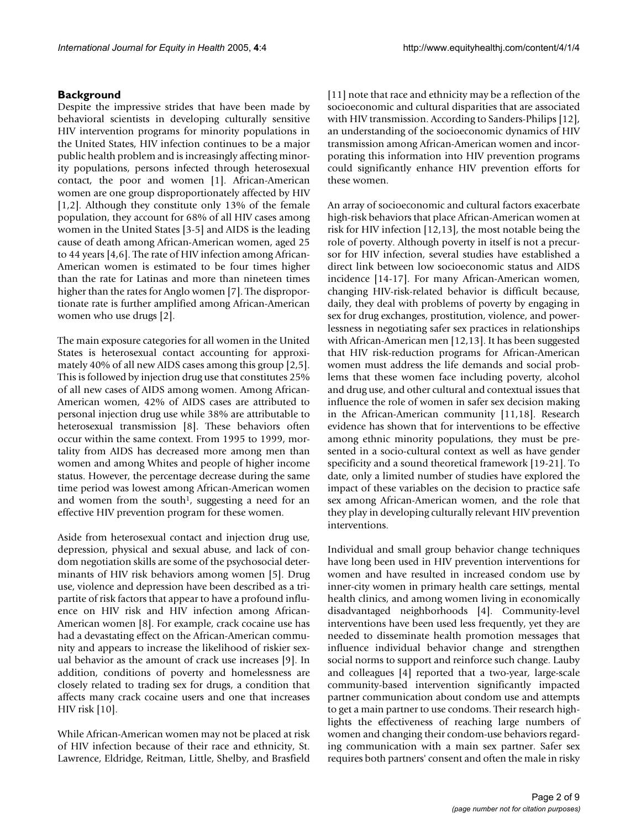#### **Background**

Despite the impressive strides that have been made by behavioral scientists in developing culturally sensitive HIV intervention programs for minority populations in the United States, HIV infection continues to be a major public health problem and is increasingly affecting minority populations, persons infected through heterosexual contact, the poor and women [1]. African-American women are one group disproportionately affected by HIV [1,2]. Although they constitute only 13% of the female population, they account for 68% of all HIV cases among women in the United States [3-5] and AIDS is the leading cause of death among African-American women, aged 25 to 44 years [4,6]. The rate of HIV infection among African-American women is estimated to be four times higher than the rate for Latinas and more than nineteen times higher than the rates for Anglo women [7]. The disproportionate rate is further amplified among African-American women who use drugs [2].

The main exposure categories for all women in the United States is heterosexual contact accounting for approximately 40% of all new AIDS cases among this group [2,5]. This is followed by injection drug use that constitutes 25% of all new cases of AIDS among women. Among African-American women, 42% of AIDS cases are attributed to personal injection drug use while 38% are attributable to heterosexual transmission [8]. These behaviors often occur within the same context. From 1995 to 1999, mortality from AIDS has decreased more among men than women and among Whites and people of higher income status. However, the percentage decrease during the same time period was lowest among African-American women and women from the south<sup>1</sup>, suggesting a need for an effective HIV prevention program for these women.

Aside from heterosexual contact and injection drug use, depression, physical and sexual abuse, and lack of condom negotiation skills are some of the psychosocial determinants of HIV risk behaviors among women [5]. Drug use, violence and depression have been described as a tripartite of risk factors that appear to have a profound influence on HIV risk and HIV infection among African-American women [8]. For example, crack cocaine use has had a devastating effect on the African-American community and appears to increase the likelihood of riskier sexual behavior as the amount of crack use increases [9]. In addition, conditions of poverty and homelessness are closely related to trading sex for drugs, a condition that affects many crack cocaine users and one that increases HIV risk [10].

While African-American women may not be placed at risk of HIV infection because of their race and ethnicity, St. Lawrence, Eldridge, Reitman, Little, Shelby, and Brasfield

[11] note that race and ethnicity may be a reflection of the socioeconomic and cultural disparities that are associated with HIV transmission. According to Sanders-Philips [12], an understanding of the socioeconomic dynamics of HIV transmission among African-American women and incorporating this information into HIV prevention programs could significantly enhance HIV prevention efforts for these women.

An array of socioeconomic and cultural factors exacerbate high-risk behaviors that place African-American women at risk for HIV infection [12,13], the most notable being the role of poverty. Although poverty in itself is not a precursor for HIV infection, several studies have established a direct link between low socioeconomic status and AIDS incidence [14-17]. For many African-American women, changing HIV-risk-related behavior is difficult because, daily, they deal with problems of poverty by engaging in sex for drug exchanges, prostitution, violence, and powerlessness in negotiating safer sex practices in relationships with African-American men [12,13]. It has been suggested that HIV risk-reduction programs for African-American women must address the life demands and social problems that these women face including poverty, alcohol and drug use, and other cultural and contextual issues that influence the role of women in safer sex decision making in the African-American community [11,18]. Research evidence has shown that for interventions to be effective among ethnic minority populations, they must be presented in a socio-cultural context as well as have gender specificity and a sound theoretical framework [19-21]. To date, only a limited number of studies have explored the impact of these variables on the decision to practice safe sex among African-American women, and the role that they play in developing culturally relevant HIV prevention interventions.

Individual and small group behavior change techniques have long been used in HIV prevention interventions for women and have resulted in increased condom use by inner-city women in primary health care settings, mental health clinics, and among women living in economically disadvantaged neighborhoods [4]. Community-level interventions have been used less frequently, yet they are needed to disseminate health promotion messages that influence individual behavior change and strengthen social norms to support and reinforce such change. Lauby and colleagues [4] reported that a two-year, large-scale community-based intervention significantly impacted partner communication about condom use and attempts to get a main partner to use condoms. Their research highlights the effectiveness of reaching large numbers of women and changing their condom-use behaviors regarding communication with a main sex partner. Safer sex requires both partners' consent and often the male in risky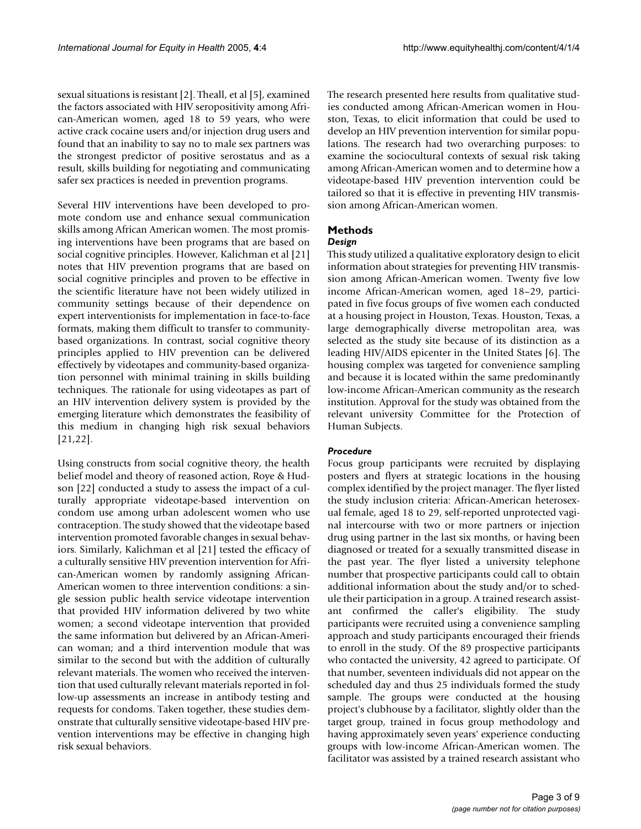sexual situations is resistant [2]. Theall, et al [5], examined the factors associated with HIV seropositivity among African-American women, aged 18 to 59 years, who were active crack cocaine users and/or injection drug users and found that an inability to say no to male sex partners was the strongest predictor of positive serostatus and as a result, skills building for negotiating and communicating safer sex practices is needed in prevention programs.

Several HIV interventions have been developed to promote condom use and enhance sexual communication skills among African American women. The most promising interventions have been programs that are based on social cognitive principles. However, Kalichman et al [21] notes that HIV prevention programs that are based on social cognitive principles and proven to be effective in the scientific literature have not been widely utilized in community settings because of their dependence on expert interventionists for implementation in face-to-face formats, making them difficult to transfer to communitybased organizations. In contrast, social cognitive theory principles applied to HIV prevention can be delivered effectively by videotapes and community-based organization personnel with minimal training in skills building techniques. The rationale for using videotapes as part of an HIV intervention delivery system is provided by the emerging literature which demonstrates the feasibility of this medium in changing high risk sexual behaviors [21,22].

Using constructs from social cognitive theory, the health belief model and theory of reasoned action, Roye & Hudson [22] conducted a study to assess the impact of a culturally appropriate videotape-based intervention on condom use among urban adolescent women who use contraception. The study showed that the videotape based intervention promoted favorable changes in sexual behaviors. Similarly, Kalichman et al [21] tested the efficacy of a culturally sensitive HIV prevention intervention for African-American women by randomly assigning African-American women to three intervention conditions: a single session public health service videotape intervention that provided HIV information delivered by two white women; a second videotape intervention that provided the same information but delivered by an African-American woman; and a third intervention module that was similar to the second but with the addition of culturally relevant materials. The women who received the intervention that used culturally relevant materials reported in follow-up assessments an increase in antibody testing and requests for condoms. Taken together, these studies demonstrate that culturally sensitive videotape-based HIV prevention interventions may be effective in changing high risk sexual behaviors.

The research presented here results from qualitative studies conducted among African-American women in Houston, Texas, to elicit information that could be used to develop an HIV prevention intervention for similar populations. The research had two overarching purposes: to examine the sociocultural contexts of sexual risk taking among African-American women and to determine how a videotape-based HIV prevention intervention could be tailored so that it is effective in preventing HIV transmission among African-American women.

### **Methods**

#### *Design*

This study utilized a qualitative exploratory design to elicit information about strategies for preventing HIV transmission among African-American women. Twenty five low income African-American women, aged 18–29, participated in five focus groups of five women each conducted at a housing project in Houston, Texas. Houston, Texas, a large demographically diverse metropolitan area, was selected as the study site because of its distinction as a leading HIV/AIDS epicenter in the United States [6]. The housing complex was targeted for convenience sampling and because it is located within the same predominantly low-income African-American community as the research institution. Approval for the study was obtained from the relevant university Committee for the Protection of Human Subjects.

#### *Procedure*

Focus group participants were recruited by displaying posters and flyers at strategic locations in the housing complex identified by the project manager. The flyer listed the study inclusion criteria: African-American heterosexual female, aged 18 to 29, self-reported unprotected vaginal intercourse with two or more partners or injection drug using partner in the last six months, or having been diagnosed or treated for a sexually transmitted disease in the past year. The flyer listed a university telephone number that prospective participants could call to obtain additional information about the study and/or to schedule their participation in a group. A trained research assistant confirmed the caller's eligibility. The study participants were recruited using a convenience sampling approach and study participants encouraged their friends to enroll in the study. Of the 89 prospective participants who contacted the university, 42 agreed to participate. Of that number, seventeen individuals did not appear on the scheduled day and thus 25 individuals formed the study sample. The groups were conducted at the housing project's clubhouse by a facilitator, slightly older than the target group, trained in focus group methodology and having approximately seven years' experience conducting groups with low-income African-American women. The facilitator was assisted by a trained research assistant who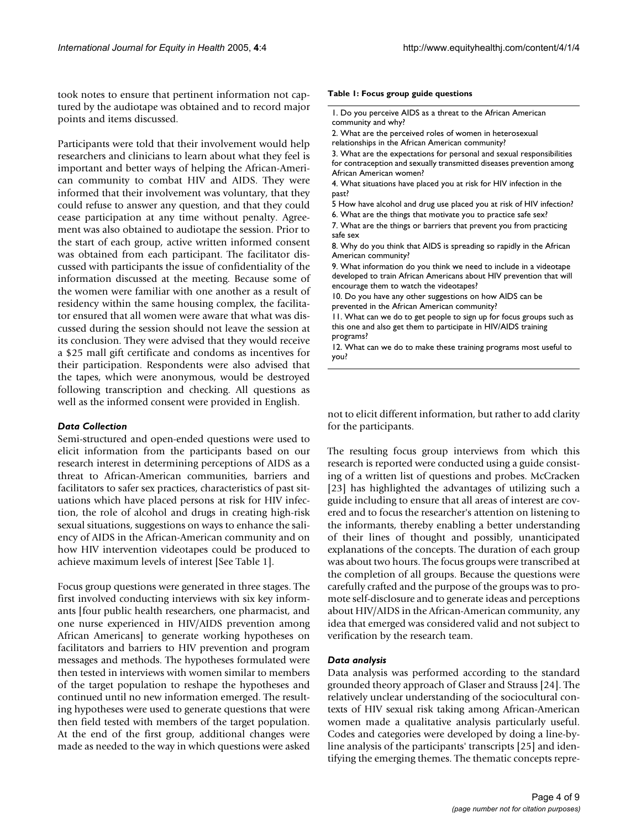took notes to ensure that pertinent information not captured by the audiotape was obtained and to record major points and items discussed.

Participants were told that their involvement would help researchers and clinicians to learn about what they feel is important and better ways of helping the African-American community to combat HIV and AIDS. They were informed that their involvement was voluntary, that they could refuse to answer any question, and that they could cease participation at any time without penalty. Agreement was also obtained to audiotape the session. Prior to the start of each group, active written informed consent was obtained from each participant. The facilitator discussed with participants the issue of confidentiality of the information discussed at the meeting. Because some of the women were familiar with one another as a result of residency within the same housing complex, the facilitator ensured that all women were aware that what was discussed during the session should not leave the session at its conclusion. They were advised that they would receive a \$25 mall gift certificate and condoms as incentives for their participation. Respondents were also advised that the tapes, which were anonymous, would be destroyed following transcription and checking. All questions as well as the informed consent were provided in English.

#### *Data Collection*

Semi-structured and open-ended questions were used to elicit information from the participants based on our research interest in determining perceptions of AIDS as a threat to African-American communities, barriers and facilitators to safer sex practices, characteristics of past situations which have placed persons at risk for HIV infection, the role of alcohol and drugs in creating high-risk sexual situations, suggestions on ways to enhance the saliency of AIDS in the African-American community and on how HIV intervention videotapes could be produced to achieve maximum levels of interest [See Table 1].

Focus group questions were generated in three stages. The first involved conducting interviews with six key informants [four public health researchers, one pharmacist, and one nurse experienced in HIV/AIDS prevention among African Americans] to generate working hypotheses on facilitators and barriers to HIV prevention and program messages and methods. The hypotheses formulated were then tested in interviews with women similar to members of the target population to reshape the hypotheses and continued until no new information emerged. The resulting hypotheses were used to generate questions that were then field tested with members of the target population. At the end of the first group, additional changes were made as needed to the way in which questions were asked

#### **Table 1: Focus group guide questions**

1. Do you perceive AIDS as a threat to the African American community and why?

2. What are the perceived roles of women in heterosexual relationships in the African American community?

3. What are the expectations for personal and sexual responsibilities for contraception and sexually transmitted diseases prevention among African American women?

4. What situations have placed you at risk for HIV infection in the past?

5 How have alcohol and drug use placed you at risk of HIV infection?

6. What are the things that motivate you to practice safe sex?

7. What are the things or barriers that prevent you from practicing safe sex

8. Why do you think that AIDS is spreading so rapidly in the African American community?

9. What information do you think we need to include in a videotape developed to train African Americans about HIV prevention that will encourage them to watch the videotapes?

10. Do you have any other suggestions on how AIDS can be prevented in the African American community?

11. What can we do to get people to sign up for focus groups such as this one and also get them to participate in HIV/AIDS training programs?

12. What can we do to make these training programs most useful to you?

not to elicit different information, but rather to add clarity for the participants.

The resulting focus group interviews from which this research is reported were conducted using a guide consisting of a written list of questions and probes. McCracken [23] has highlighted the advantages of utilizing such a guide including to ensure that all areas of interest are covered and to focus the researcher's attention on listening to the informants, thereby enabling a better understanding of their lines of thought and possibly, unanticipated explanations of the concepts. The duration of each group was about two hours. The focus groups were transcribed at the completion of all groups. Because the questions were carefully crafted and the purpose of the groups was to promote self-disclosure and to generate ideas and perceptions about HIV/AIDS in the African-American community, any idea that emerged was considered valid and not subject to verification by the research team.

#### *Data analysis*

Data analysis was performed according to the standard grounded theory approach of Glaser and Strauss [24]. The relatively unclear understanding of the sociocultural contexts of HIV sexual risk taking among African-American women made a qualitative analysis particularly useful. Codes and categories were developed by doing a line-byline analysis of the participants' transcripts [25] and identifying the emerging themes. The thematic concepts repre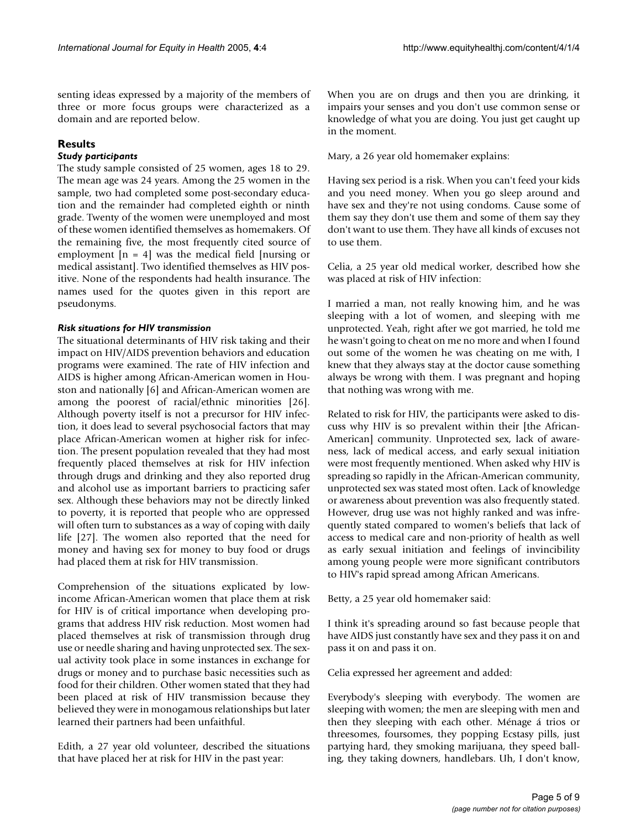senting ideas expressed by a majority of the members of three or more focus groups were characterized as a domain and are reported below.

#### **Results**

#### *Study participants*

The study sample consisted of 25 women, ages 18 to 29. The mean age was 24 years. Among the 25 women in the sample, two had completed some post-secondary education and the remainder had completed eighth or ninth grade. Twenty of the women were unemployed and most of these women identified themselves as homemakers. Of the remaining five, the most frequently cited source of employment  $[n = 4]$  was the medical field [nursing or medical assistant]. Two identified themselves as HIV positive. None of the respondents had health insurance. The names used for the quotes given in this report are pseudonyms.

#### *Risk situations for HIV transmission*

The situational determinants of HIV risk taking and their impact on HIV/AIDS prevention behaviors and education programs were examined. The rate of HIV infection and AIDS is higher among African-American women in Houston and nationally [6] and African-American women are among the poorest of racial/ethnic minorities [26]. Although poverty itself is not a precursor for HIV infection, it does lead to several psychosocial factors that may place African-American women at higher risk for infection. The present population revealed that they had most frequently placed themselves at risk for HIV infection through drugs and drinking and they also reported drug and alcohol use as important barriers to practicing safer sex. Although these behaviors may not be directly linked to poverty, it is reported that people who are oppressed will often turn to substances as a way of coping with daily life [27]. The women also reported that the need for money and having sex for money to buy food or drugs had placed them at risk for HIV transmission.

Comprehension of the situations explicated by lowincome African-American women that place them at risk for HIV is of critical importance when developing programs that address HIV risk reduction. Most women had placed themselves at risk of transmission through drug use or needle sharing and having unprotected sex. The sexual activity took place in some instances in exchange for drugs or money and to purchase basic necessities such as food for their children. Other women stated that they had been placed at risk of HIV transmission because they believed they were in monogamous relationships but later learned their partners had been unfaithful.

Edith, a 27 year old volunteer, described the situations that have placed her at risk for HIV in the past year:

When you are on drugs and then you are drinking, it impairs your senses and you don't use common sense or knowledge of what you are doing. You just get caught up in the moment.

Mary, a 26 year old homemaker explains:

Having sex period is a risk. When you can't feed your kids and you need money. When you go sleep around and have sex and they're not using condoms. Cause some of them say they don't use them and some of them say they don't want to use them. They have all kinds of excuses not to use them.

Celia, a 25 year old medical worker, described how she was placed at risk of HIV infection:

I married a man, not really knowing him, and he was sleeping with a lot of women, and sleeping with me unprotected. Yeah, right after we got married, he told me he wasn't going to cheat on me no more and when I found out some of the women he was cheating on me with, I knew that they always stay at the doctor cause something always be wrong with them. I was pregnant and hoping that nothing was wrong with me.

Related to risk for HIV, the participants were asked to discuss why HIV is so prevalent within their [the African-American] community. Unprotected sex, lack of awareness, lack of medical access, and early sexual initiation were most frequently mentioned. When asked why HIV is spreading so rapidly in the African-American community, unprotected sex was stated most often. Lack of knowledge or awareness about prevention was also frequently stated. However, drug use was not highly ranked and was infrequently stated compared to women's beliefs that lack of access to medical care and non-priority of health as well as early sexual initiation and feelings of invincibility among young people were more significant contributors to HIV's rapid spread among African Americans.

Betty, a 25 year old homemaker said:

I think it's spreading around so fast because people that have AIDS just constantly have sex and they pass it on and pass it on and pass it on.

Celia expressed her agreement and added:

Everybody's sleeping with everybody. The women are sleeping with women; the men are sleeping with men and then they sleeping with each other. Ménage á trios or threesomes, foursomes, they popping Ecstasy pills, just partying hard, they smoking marijuana, they speed balling, they taking downers, handlebars. Uh, I don't know,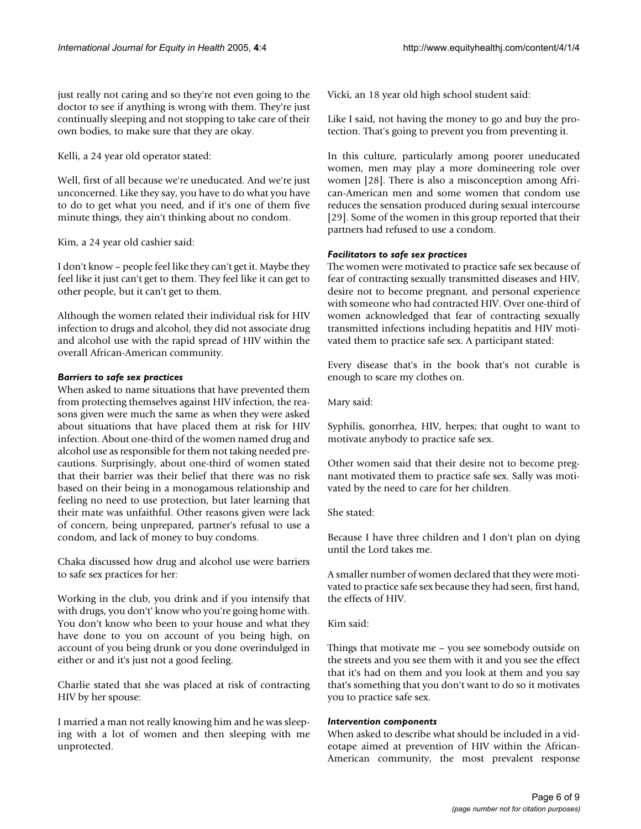just really not caring and so they're not even going to the doctor to see if anything is wrong with them. They're just continually sleeping and not stopping to take care of their own bodies, to make sure that they are okay.

Kelli, a 24 year old operator stated:

Well, first of all because we're uneducated. And we're just unconcerned. Like they say, you have to do what you have to do to get what you need, and if it's one of them five minute things, they ain't thinking about no condom.

Kim, a 24 year old cashier said:

I don't know – people feel like they can't get it. Maybe they feel like it just can't get to them. They feel like it can get to other people, but it can't get to them.

Although the women related their individual risk for HIV infection to drugs and alcohol, they did not associate drug and alcohol use with the rapid spread of HIV within the overall African-American community.

#### *Barriers to safe sex practices*

When asked to name situations that have prevented them from protecting themselves against HIV infection, the reasons given were much the same as when they were asked about situations that have placed them at risk for HIV infection. About one-third of the women named drug and alcohol use as responsible for them not taking needed precautions. Surprisingly, about one-third of women stated that their barrier was their belief that there was no risk based on their being in a monogamous relationship and feeling no need to use protection, but later learning that their mate was unfaithful. Other reasons given were lack of concern, being unprepared, partner's refusal to use a condom, and lack of money to buy condoms.

Chaka discussed how drug and alcohol use were barriers to safe sex practices for her:

Working in the club, you drink and if you intensify that with drugs, you don't' know who you're going home with. You don't know who been to your house and what they have done to you on account of you being high, on account of you being drunk or you done overindulged in either or and it's just not a good feeling.

Charlie stated that she was placed at risk of contracting HIV by her spouse:

I married a man not really knowing him and he was sleeping with a lot of women and then sleeping with me unprotected.

Vicki, an 18 year old high school student said:

Like I said, not having the money to go and buy the protection. That's going to prevent you from preventing it.

In this culture, particularly among poorer uneducated women, men may play a more domineering role over women [28]. There is also a misconception among African-American men and some women that condom use reduces the sensation produced during sexual intercourse [29]. Some of the women in this group reported that their partners had refused to use a condom.

#### *Facilitators to safe sex practices*

The women were motivated to practice safe sex because of fear of contracting sexually transmitted diseases and HIV, desire not to become pregnant, and personal experience with someone who had contracted HIV. Over one-third of women acknowledged that fear of contracting sexually transmitted infections including hepatitis and HIV motivated them to practice safe sex. A participant stated:

Every disease that's in the book that's not curable is enough to scare my clothes on.

Mary said:

Syphilis, gonorrhea, HIV, herpes; that ought to want to motivate anybody to practice safe sex.

Other women said that their desire not to become pregnant motivated them to practice safe sex. Sally was motivated by the need to care for her children.

She stated:

Because I have three children and I don't plan on dying until the Lord takes me.

A smaller number of women declared that they were motivated to practice safe sex because they had seen, first hand, the effects of HIV.

Kim said:

Things that motivate me – you see somebody outside on the streets and you see them with it and you see the effect that it's had on them and you look at them and you say that's something that you don't want to do so it motivates you to practice safe sex.

#### *Intervention components*

When asked to describe what should be included in a videotape aimed at prevention of HIV within the African-American community, the most prevalent response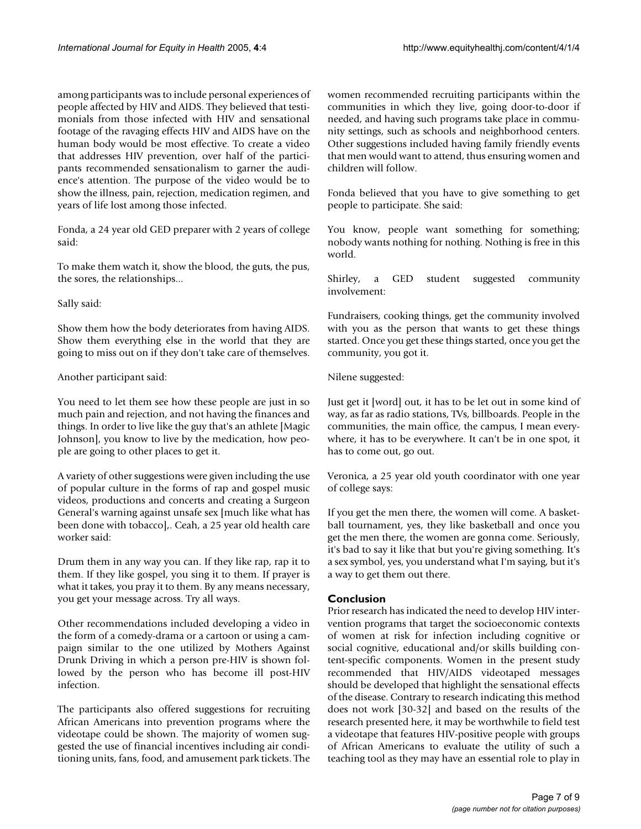among participants was to include personal experiences of people affected by HIV and AIDS. They believed that testimonials from those infected with HIV and sensational footage of the ravaging effects HIV and AIDS have on the human body would be most effective. To create a video that addresses HIV prevention, over half of the participants recommended sensationalism to garner the audience's attention. The purpose of the video would be to show the illness, pain, rejection, medication regimen, and years of life lost among those infected.

Fonda, a 24 year old GED preparer with 2 years of college said:

To make them watch it, show the blood, the guts, the pus, the sores, the relationships...

#### Sally said:

Show them how the body deteriorates from having AIDS. Show them everything else in the world that they are going to miss out on if they don't take care of themselves.

#### Another participant said:

You need to let them see how these people are just in so much pain and rejection, and not having the finances and things. In order to live like the guy that's an athlete [Magic Johnson], you know to live by the medication, how people are going to other places to get it.

A variety of other suggestions were given including the use of popular culture in the forms of rap and gospel music videos, productions and concerts and creating a Surgeon General's warning against unsafe sex [much like what has been done with tobacco],. Ceah, a 25 year old health care worker said:

Drum them in any way you can. If they like rap, rap it to them. If they like gospel, you sing it to them. If prayer is what it takes, you pray it to them. By any means necessary, you get your message across. Try all ways.

Other recommendations included developing a video in the form of a comedy-drama or a cartoon or using a campaign similar to the one utilized by Mothers Against Drunk Driving in which a person pre-HIV is shown followed by the person who has become ill post-HIV infection.

The participants also offered suggestions for recruiting African Americans into prevention programs where the videotape could be shown. The majority of women suggested the use of financial incentives including air conditioning units, fans, food, and amusement park tickets. The women recommended recruiting participants within the communities in which they live, going door-to-door if needed, and having such programs take place in community settings, such as schools and neighborhood centers. Other suggestions included having family friendly events that men would want to attend, thus ensuring women and children will follow.

Fonda believed that you have to give something to get people to participate. She said:

You know, people want something for something; nobody wants nothing for nothing. Nothing is free in this world.

Shirley, a GED student suggested community involvement:

Fundraisers, cooking things, get the community involved with you as the person that wants to get these things started. Once you get these things started, once you get the community, you got it.

Nilene suggested:

Just get it [word] out, it has to be let out in some kind of way, as far as radio stations, TVs, billboards. People in the communities, the main office, the campus, I mean everywhere, it has to be everywhere. It can't be in one spot, it has to come out, go out.

Veronica, a 25 year old youth coordinator with one year of college says:

If you get the men there, the women will come. A basketball tournament, yes, they like basketball and once you get the men there, the women are gonna come. Seriously, it's bad to say it like that but you're giving something. It's a sex symbol, yes, you understand what I'm saying, but it's a way to get them out there.

#### **Conclusion**

Prior research has indicated the need to develop HIV intervention programs that target the socioeconomic contexts of women at risk for infection including cognitive or social cognitive, educational and/or skills building content-specific components. Women in the present study recommended that HIV/AIDS videotaped messages should be developed that highlight the sensational effects of the disease. Contrary to research indicating this method does not work [30-32] and based on the results of the research presented here, it may be worthwhile to field test a videotape that features HIV-positive people with groups of African Americans to evaluate the utility of such a teaching tool as they may have an essential role to play in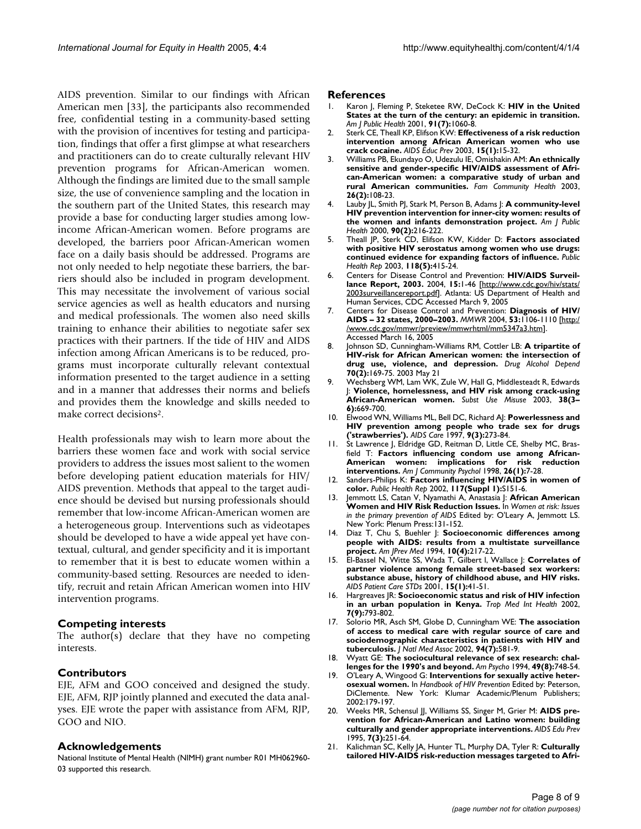AIDS prevention. Similar to our findings with African American men [33], the participants also recommended free, confidential testing in a community-based setting with the provision of incentives for testing and participation, findings that offer a first glimpse at what researchers and practitioners can do to create culturally relevant HIV prevention programs for African-American women. Although the findings are limited due to the small sample size, the use of convenience sampling and the location in the southern part of the United States, this research may provide a base for conducting larger studies among lowincome African-American women. Before programs are developed, the barriers poor African-American women face on a daily basis should be addressed. Programs are not only needed to help negotiate these barriers, the barriers should also be included in program development. This may necessitate the involvement of various social service agencies as well as health educators and nursing and medical professionals. The women also need skills training to enhance their abilities to negotiate safer sex practices with their partners. If the tide of HIV and AIDS infection among African Americans is to be reduced, programs must incorporate culturally relevant contextual information presented to the target audience in a setting and in a manner that addresses their norms and beliefs and provides them the knowledge and skills needed to make correct decisions2.

Health professionals may wish to learn more about the barriers these women face and work with social service providers to address the issues most salient to the women before developing patient education materials for HIV/ AIDS prevention. Methods that appeal to the target audience should be devised but nursing professionals should remember that low-income African-American women are a heterogeneous group. Interventions such as videotapes should be developed to have a wide appeal yet have contextual, cultural, and gender specificity and it is important to remember that it is best to educate women within a community-based setting. Resources are needed to identify, recruit and retain African American women into HIV intervention programs.

#### **Competing interests**

The author(s) declare that they have no competing interests.

#### **Contributors**

EJE, AFM and GOO conceived and designed the study. EJE, AFM, RJP jointly planned and executed the data analyses. EJE wrote the paper with assistance from AFM, RJP, GOO and NIO.

#### **Acknowledgements**

National Institute of Mental Health (NIMH) grant number R01 MH062960- 03 supported this research.

#### **References**

- 1. Karon J, Fleming P, Steketee RW, DeCock K: **[HIV in the United](http://www.ncbi.nlm.nih.gov/entrez/query.fcgi?cmd=Retrieve&db=PubMed&dopt=Abstract&list_uids=11441732) [States at the turn of the century: an epidemic in transition.](http://www.ncbi.nlm.nih.gov/entrez/query.fcgi?cmd=Retrieve&db=PubMed&dopt=Abstract&list_uids=11441732)** *Am J Public Health* 2001, **91(7):**1060-8.
- 2. Sterk CE, Theall KP, Elifson KW: **[Effectiveness of a risk reduction](http://www.ncbi.nlm.nih.gov/entrez/query.fcgi?cmd=Retrieve&db=PubMed&dopt=Abstract&list_uids=12627741) [intervention among African American women who use](http://www.ncbi.nlm.nih.gov/entrez/query.fcgi?cmd=Retrieve&db=PubMed&dopt=Abstract&list_uids=12627741) [crack cocaine.](http://www.ncbi.nlm.nih.gov/entrez/query.fcgi?cmd=Retrieve&db=PubMed&dopt=Abstract&list_uids=12627741)** *AIDS Educ Prev* 2003, **15(1):**15-32.
- 3. Williams PB, Ekundayo O, Udezulu IE, Omishakin AM: **[An ethnically](http://www.ncbi.nlm.nih.gov/entrez/query.fcgi?cmd=Retrieve&db=PubMed&dopt=Abstract&list_uids=12802116) [sensitive and gender-specific HIV/AIDS assessment of Afri](http://www.ncbi.nlm.nih.gov/entrez/query.fcgi?cmd=Retrieve&db=PubMed&dopt=Abstract&list_uids=12802116)can-American women: a comparative study of urban and [rural American communities.](http://www.ncbi.nlm.nih.gov/entrez/query.fcgi?cmd=Retrieve&db=PubMed&dopt=Abstract&list_uids=12802116)** *Fam Community Health* 2003, **26(2):**108-23.
- 4. Lauby JL, Smith PJ, Stark M, Person B, Adams J: **[A community-level](http://www.ncbi.nlm.nih.gov/entrez/query.fcgi?cmd=Retrieve&db=PubMed&dopt=Abstract&list_uids=10667182) [HIV prevention intervention for inner-city women: results of](http://www.ncbi.nlm.nih.gov/entrez/query.fcgi?cmd=Retrieve&db=PubMed&dopt=Abstract&list_uids=10667182) [the women and infants demonstration project.](http://www.ncbi.nlm.nih.gov/entrez/query.fcgi?cmd=Retrieve&db=PubMed&dopt=Abstract&list_uids=10667182)** *Am J Public Health* 2000, **90(2):**216-222.
- 5. Theall JP, Sterk CD, Elifson KW, Kidder D: **[Factors associated](http://www.ncbi.nlm.nih.gov/entrez/query.fcgi?cmd=Retrieve&db=PubMed&dopt=Abstract&list_uids=12941854) [with positive HIV serostatus among women who use drugs:](http://www.ncbi.nlm.nih.gov/entrez/query.fcgi?cmd=Retrieve&db=PubMed&dopt=Abstract&list_uids=12941854) [continued evidence for expanding factors of influence.](http://www.ncbi.nlm.nih.gov/entrez/query.fcgi?cmd=Retrieve&db=PubMed&dopt=Abstract&list_uids=12941854)** *Public Health Rep* 2003, **118(5):**415-24.
- 6. Centers for Disease Control and Prevention: **HIV/AIDS Surveillance Report, 2003.** 2004, **15:**1-46 [\[http://www.cdc.gov/hiv/stats/](http://www.cdc.gov/hiv/stats/2003surveillancereport.pdf) [2003surveillancereport.pdf\]](http://www.cdc.gov/hiv/stats/2003surveillancereport.pdf). Atlanta: US Department of Health and Human Services, CDC Accessed March 9, 2005
- 7. Centers for Disease Control and Prevention: **Diagnosis of HIV/ AIDS – 32 states, 2000–2003.** *MMWR* 2004, **53:**1106-1110 [[http:/](http://www.cdc.gov/mmwr/preview/mmwrhtml/mm5347a3.htm) [/www.cdc.gov/mmwr/preview/mmwrhtml/mm5347a3.htm\]](http://www.cdc.gov/mmwr/preview/mmwrhtml/mm5347a3.htm). Accessed March 16, 2005
- 8. Johnson SD, Cunningham-Williams RM, Cottler LB: **A tripartite of HIV-risk for African American women: the intersection of drug use, violence, and depression.** *Drug Alcohol Depend* **70(2):**169-75. 2003 May 21
- Wechsberg WM, Lam WK, Zule W, Hall G, Middlesteadt R, Edwards J: **[Violence, homelessness, and HIV risk among crack-using](http://www.ncbi.nlm.nih.gov/entrez/query.fcgi?cmd=Retrieve&db=PubMed&dopt=Abstract&list_uids=12747401) [African-American women.](http://www.ncbi.nlm.nih.gov/entrez/query.fcgi?cmd=Retrieve&db=PubMed&dopt=Abstract&list_uids=12747401)** *Subst Use Misuse* 2003, **38(3– 6):**669-700.
- 10. Elwood WN, Williams ML, Bell DC, Richard AJ: **[Powerlessness and](http://www.ncbi.nlm.nih.gov/entrez/query.fcgi?cmd=Retrieve&db=PubMed&dopt=Abstract&list_uids=9290833) [HIV prevention among people who trade sex for drugs](http://www.ncbi.nlm.nih.gov/entrez/query.fcgi?cmd=Retrieve&db=PubMed&dopt=Abstract&list_uids=9290833) [\('strawberries'\).](http://www.ncbi.nlm.nih.gov/entrez/query.fcgi?cmd=Retrieve&db=PubMed&dopt=Abstract&list_uids=9290833)** *AIDS Care* 1997, **9(3):**273-84.
- 11. St Lawrence J, Eldridge GD, Reitman D, Little CE, Shelby MC, Brasfield T: **[Factors influencing condom use among African-](http://www.ncbi.nlm.nih.gov/entrez/query.fcgi?cmd=Retrieve&db=PubMed&dopt=Abstract&list_uids=9574496)[American women: implications for risk reduction](http://www.ncbi.nlm.nih.gov/entrez/query.fcgi?cmd=Retrieve&db=PubMed&dopt=Abstract&list_uids=9574496) [interventions.](http://www.ncbi.nlm.nih.gov/entrez/query.fcgi?cmd=Retrieve&db=PubMed&dopt=Abstract&list_uids=9574496)** *Am J Community Psychol* 1998, **26(1):**7-28.
- 12. Sanders-Philips K: **[Factors influencing HIV/AIDS in women of](http://www.ncbi.nlm.nih.gov/entrez/query.fcgi?cmd=Retrieve&db=PubMed&dopt=Abstract&list_uids=12435839) [color.](http://www.ncbi.nlm.nih.gov/entrez/query.fcgi?cmd=Retrieve&db=PubMed&dopt=Abstract&list_uids=12435839)** *Public Health Rep* 2002, **117(Suppl 1):**S151-6.
- 13. Jemmott LS, Catan V, Nyamathi A, Anastasia J: **African American Women and HIV Risk Reduction Issues.** In *Women at risk: Issues in the primary prevention of AIDS* Edited by: O'Leary A, Jemmott LS. New York: Plenum Press:131-152.
- 14. Diaz T, Chu S, Buehler |: Socioeconomic differences among **people with AIDS: results from a multistate surveillance project.** *Am JPrev Med* 1994, **10(4):**217-22.
- 15. El-Bassel N, Witte SS, Wada T, Gilbert l, Wallace J: **[Correlates of](http://www.ncbi.nlm.nih.gov/entrez/query.fcgi?cmd=Retrieve&db=PubMed&dopt=Abstract&list_uids=11177587) [partner violence among female street-based sex workers:](http://www.ncbi.nlm.nih.gov/entrez/query.fcgi?cmd=Retrieve&db=PubMed&dopt=Abstract&list_uids=11177587) substance abuse, history of childhood abuse, and HIV risks.** *AIDS Patient Care STDs* 2001, **15(1):**41-51.
- 16. Hargreaves JR: **[Socioeconomic status and risk of HIV infection](http://www.ncbi.nlm.nih.gov/entrez/query.fcgi?cmd=Retrieve&db=PubMed&dopt=Abstract&list_uids=12225512) [in an urban population in Kenya.](http://www.ncbi.nlm.nih.gov/entrez/query.fcgi?cmd=Retrieve&db=PubMed&dopt=Abstract&list_uids=12225512)** *Trop Med Int Health* 2002, **7(9):**793-802.
- 17. Solorio MR, Asch SM, Globe D, Cunningham WE: **[The association](http://www.ncbi.nlm.nih.gov/entrez/query.fcgi?cmd=Retrieve&db=PubMed&dopt=Abstract&list_uids=12126284) [of access to medical care with regular source of care and](http://www.ncbi.nlm.nih.gov/entrez/query.fcgi?cmd=Retrieve&db=PubMed&dopt=Abstract&list_uids=12126284) sociodemographic characteristics in patients with HIV and [tuberculosis.](http://www.ncbi.nlm.nih.gov/entrez/query.fcgi?cmd=Retrieve&db=PubMed&dopt=Abstract&list_uids=12126284)** *J Natl Med Assoc* 2002, **94(7):**581-9.
- 18. Wyatt GE: **The sociocultural relevance of sex research: challenges for the 1990's and beyond.** *Am Psycho* 1994, **49(8):**748-54.
- 19. O'Leary A, Wingood G: **Interventions for sexually active heterosexual women.** In *Handbook of HIV Prevention* Edited by: Peterson, DiClemente. New York: Klumar Academic/Plenum Publishers; 2002:179-197.
- 20. Weeks MR, Schensul JJ, Williams SS, Singer M, Grier M: **AIDS prevention for African-American and Latino women: building culturally and gender appropriate interventions.** *AIDS Edu Prev* 1995, **7(3):**251-64.
- 21. Kalichman SC, Kelly JA, Hunter TL, Murphy DA, Tyler R: **[Culturally](http://www.ncbi.nlm.nih.gov/entrez/query.fcgi?cmd=Retrieve&db=PubMed&dopt=Abstract&list_uids=8473583) [tailored HIV-AIDS risk-reduction messages targeted to Afri](http://www.ncbi.nlm.nih.gov/entrez/query.fcgi?cmd=Retrieve&db=PubMed&dopt=Abstract&list_uids=8473583)-**